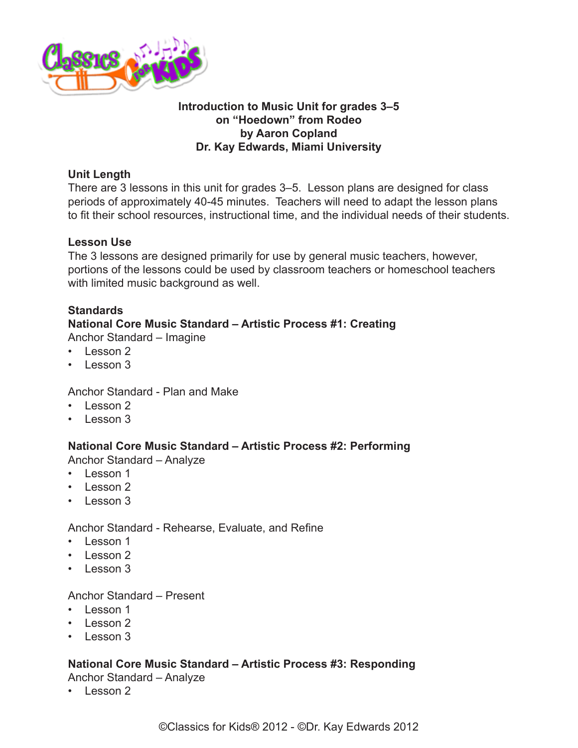

# **Introduction to Music Unit for grades 3–5 on "Hoedown" from Rodeo by Aaron Copland Dr. Kay Edwards, Miami University**

# **Unit Length**

There are 3 lessons in this unit for grades 3–5. Lesson plans are designed for class periods of approximately 40-45 minutes. Teachers will need to adapt the lesson plans to fit their school resources, instructional time, and the individual needs of their students.

# **Lesson Use**

The 3 lessons are designed primarily for use by general music teachers, however, portions of the lessons could be used by classroom teachers or homeschool teachers with limited music background as well.

# **Standards**

# **National Core Music Standard – Artistic Process #1: Creating**

Anchor Standard – Imagine

- Lesson 2
- Lesson 3

Anchor Standard - Plan and Make

- Lesson 2
- Lesson 3

# **National Core Music Standard – Artistic Process #2: Performing**

Anchor Standard – Analyze

- Lesson 1
- Lesson 2
- $\cdot$  Lesson 3

Anchor Standard - Rehearse, Evaluate, and Refine

- Lesson 1
- Lesson 2
- $\cdot$  Lesson 3

#### Anchor Standard – Present

- Lesson 1
- Lesson 2
- $\cdot$  Lesson 3

# **National Core Music Standard – Artistic Process #3: Responding**

Anchor Standard – Analyze

• Lesson 2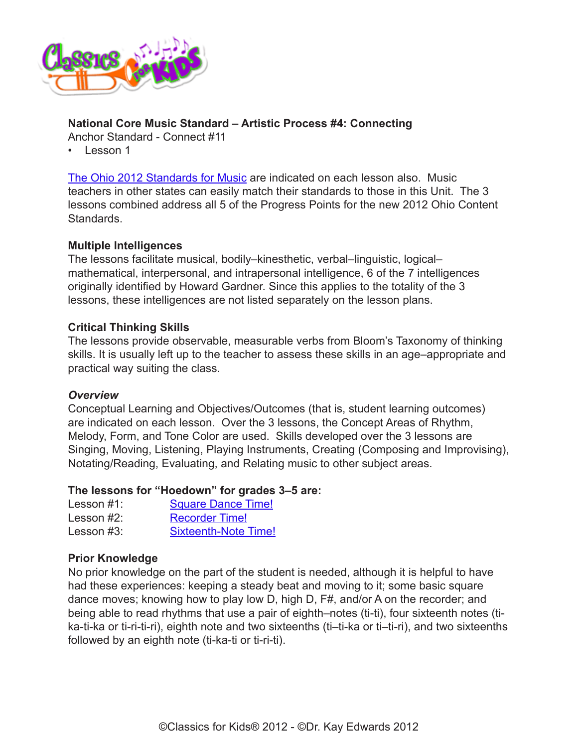

# **National Core Music Standard – Artistic Process #4: Connecting**

Anchor Standard - Connect #11

• Lesson 1

[The Ohio 2012 Standards for Music](http://www.ode.state.oh.us/GD/Templates/Pages/ODE/ODEdetail.aspx?Page=3&TopicRelationID=1700&ContentID=98202&Content=128770) are indicated on each lesson also. Music teachers in other states can easily match their standards to those in this Unit. The 3 lessons combined address all 5 of the Progress Points for the new 2012 Ohio Content Standards.

# **Multiple Intelligences**

The lessons facilitate musical, bodily–kinesthetic, verbal–linguistic, logical– mathematical, interpersonal, and intrapersonal intelligence, 6 of the 7 intelligences originally identified by Howard Gardner. Since this applies to the totality of the 3 lessons, these intelligences are not listed separately on the lesson plans.

#### **Critical Thinking Skills**

The lessons provide observable, measurable verbs from Bloom's Taxonomy of thinking skills. It is usually left up to the teacher to assess these skills in an age–appropriate and practical way suiting the class.

#### *Overview*

Conceptual Learning and Objectives/Outcomes (that is, student learning outcomes) are indicated on each lesson. Over the 3 lessons, the Concept Areas of Rhythm, Melody, Form, and Tone Color are used. Skills developed over the 3 lessons are Singing, Moving, Listening, Playing Instruments, Creating (Composing and Improvising), Notating/Reading, Evaluating, and Relating music to other subject areas.

#### **The lessons for "Hoedown" for grades 3–5 are:**

| Lesson $#1$ : | <b>Square Dance Time!</b>   |
|---------------|-----------------------------|
| Lesson $#2$ : | <b>Recorder Time!</b>       |
| Lesson $#3$ : | <b>Sixteenth-Note Time!</b> |

#### **Prior Knowledge**

No prior knowledge on the part of the student is needed, although it is helpful to have had these experiences: keeping a steady beat and moving to it; some basic square dance moves; knowing how to play low D, high D, F#, and/or A on the recorder; and being able to read rhythms that use a pair of eighth–notes (ti-ti), four sixteenth notes (tika-ti-ka or ti-ri-ti-ri), eighth note and two sixteenths (ti–ti-ka or ti–ti-ri), and two sixteenths followed by an eighth note (ti-ka-ti or ti-ri-ti).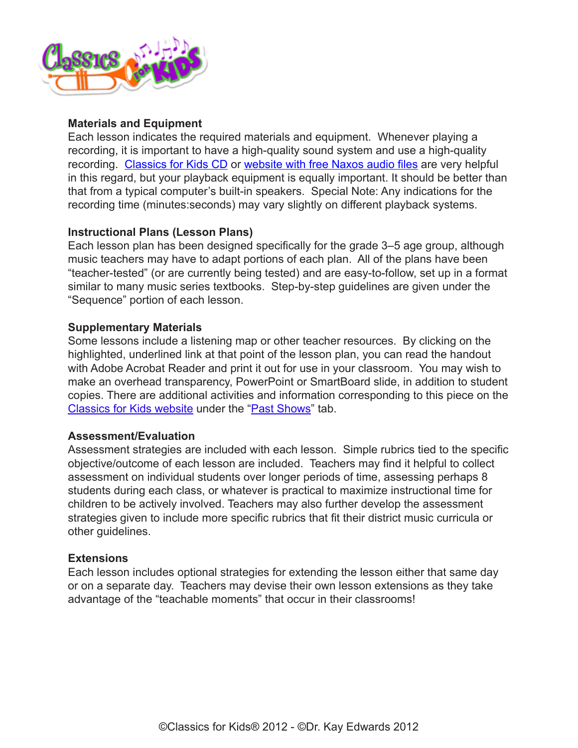

# **Materials and Equipment**

Each lesson indicates the required materials and equipment. Whenever playing a recording, it is important to have a high-quality sound system and use a high-quality recording. [Classics for Kids CD](https://secure2.convio.net/cpr/site/Ecommerce/390168608?VIEW_PRODUCT=true&product_id=1080&store_id=1101) or [website with free Naxos audio files](https://www.naxos.com/) are very helpful in this regard, but your playback equipment is equally important. It should be better than that from a typical computer's built-in speakers. Special Note: Any indications for the recording time (minutes:seconds) may vary slightly on different playback systems.

# **Instructional Plans (Lesson Plans)**

Each lesson plan has been designed specifically for the grade 3–5 age group, although music teachers may have to adapt portions of each plan. All of the plans have been "teacher-tested" (or are currently being tested) and are easy-to-follow, set up in a format similar to many music series textbooks. Step-by-step guidelines are given under the "Sequence" portion of each lesson.

#### **Supplementary Materials**

Some lessons include a listening map or other teacher resources. By clicking on the highlighted, underlined link at that point of the lesson plan, you can read the handout with Adobe Acrobat Reader and print it out for use in your classroom. You may wish to make an overhead transparency, PowerPoint or SmartBoard slide, in addition to student copies. There are additional activities and information corresponding to this piece on the [Classics for Kids website](http://www.classicsforkids.com/) under the ["Past Shows](http://www.classicsforkids.com/shows/pastshows.php)" tab.

#### **Assessment/Evaluation**

Assessment strategies are included with each lesson. Simple rubrics tied to the specific objective/outcome of each lesson are included. Teachers may find it helpful to collect assessment on individual students over longer periods of time, assessing perhaps 8 students during each class, or whatever is practical to maximize instructional time for children to be actively involved. Teachers may also further develop the assessment strategies given to include more specific rubrics that fit their district music curricula or other guidelines.

#### **Extensions**

Each lesson includes optional strategies for extending the lesson either that same day or on a separate day. Teachers may devise their own lesson extensions as they take advantage of the "teachable moments" that occur in their classrooms!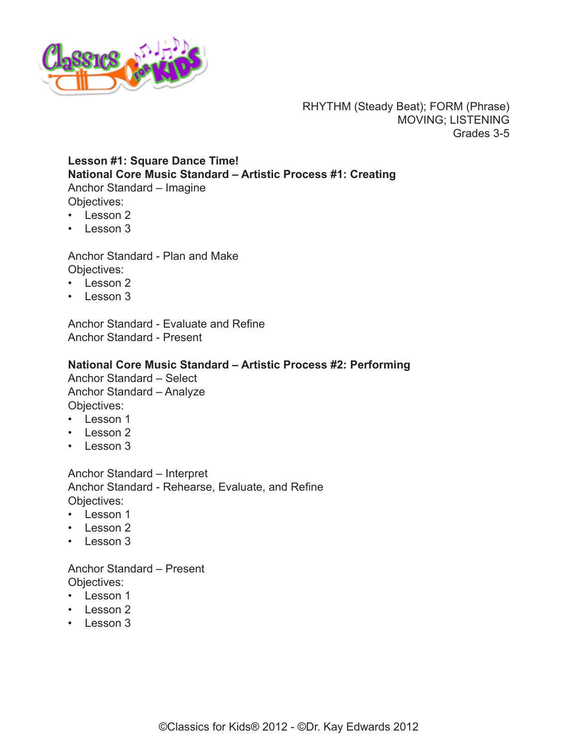<span id="page-3-0"></span>

RHYTHM (Steady Beat); FORM (Phrase) MOVING; LISTENING Grades 3-5

# **Lesson #1: Square Dance Time! National Core Music Standard – Artistic Process #1: Creating** Anchor Standard – Imagine Objectives:

- Lesson 2
- Lesson 3

Anchor Standard - Plan and Make Objectives:

- Lesson 2
- Lesson 3

Anchor Standard - Evaluate and Refine Anchor Standard - Present

#### **National Core Music Standard – Artistic Process #2: Performing**

Anchor Standard – Select Anchor Standard – Analyze Objectives:

- Lesson 1
- Lesson 2
- Lesson 3

Anchor Standard – Interpret Anchor Standard - Rehearse, Evaluate, and Refine Objectives:

- Lesson 1
- Lesson 2
- Lesson 3

Anchor Standard – Present Objectives:

- Lesson 1
- Lesson 2
- Lesson 3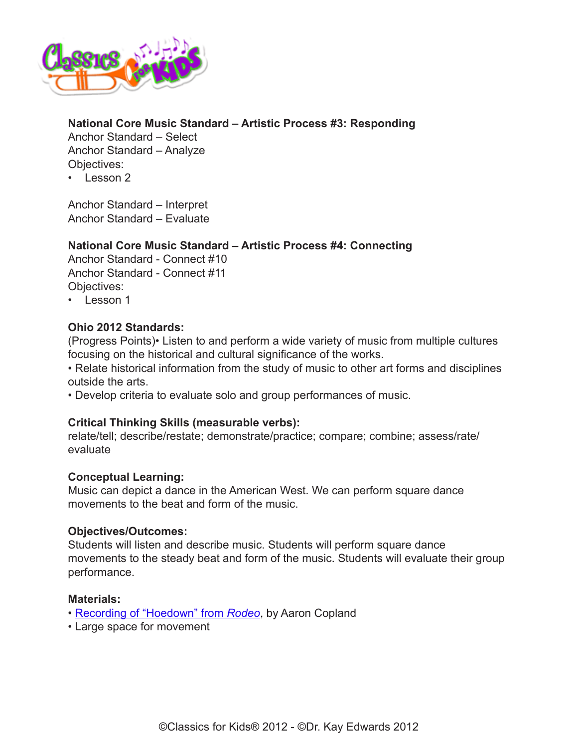

# **National Core Music Standard – Artistic Process #3: Responding**

Anchor Standard – Select Anchor Standard – Analyze Objectives:

 $\cdot$  Lesson 2

Anchor Standard – Interpret Anchor Standard – Evaluate

# **National Core Music Standard – Artistic Process #4: Connecting**

Anchor Standard - Connect #10 Anchor Standard - Connect #11 Objectives:

• Lesson 1

# **Ohio 2012 Standards:**

(Progress Points)• Listen to and perform a wide variety of music from multiple cultures focusing on the historical and cultural significance of the works.

• Relate historical information from the study of music to other art forms and disciplines outside the arts.

• Develop criteria to evaluate solo and group performances of music.

#### **Critical Thinking Skills (measurable verbs):**

relate/tell; describe/restate; demonstrate/practice; compare; combine; assess/rate/ evaluate

#### **Conceptual Learning:**

Music can depict a dance in the American West. We can perform square dance movements to the beat and form of the music.

#### **Objectives/Outcomes:**

Students will listen and describe music. Students will perform square dance movements to the steady beat and form of the music. Students will evaluate their group performance.

#### **Materials:**

- [Recording of "Hoedown" from](http://www.classicsforkids.com/music/hearthemusic.php?id=1) *Rodeo*, by Aaron Copland
- Large space for movement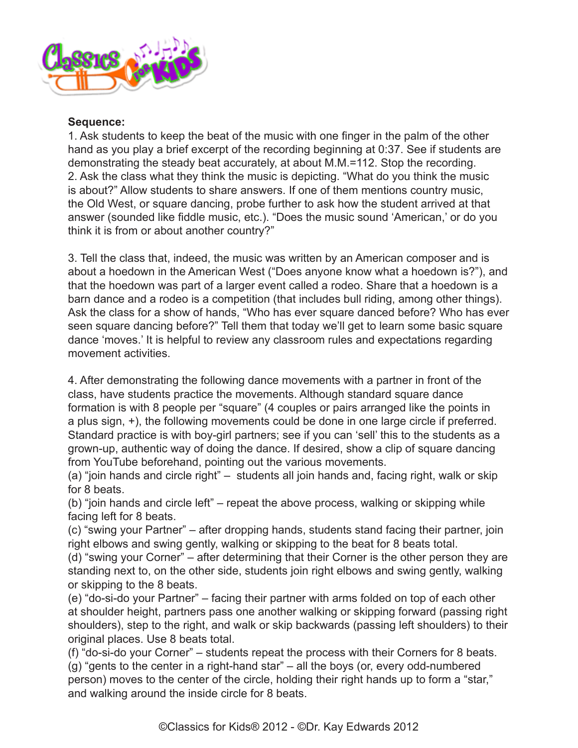

#### **Sequence:**

1. Ask students to keep the beat of the music with one finger in the palm of the other hand as you play a brief excerpt of the recording beginning at 0:37. See if students are demonstrating the steady beat accurately, at about M.M.=112. Stop the recording. 2. Ask the class what they think the music is depicting. "What do you think the music is about?" Allow students to share answers. If one of them mentions country music, the Old West, or square dancing, probe further to ask how the student arrived at that answer (sounded like fiddle music, etc.). "Does the music sound 'American,' or do you think it is from or about another country?"

3. Tell the class that, indeed, the music was written by an American composer and is about a hoedown in the American West ("Does anyone know what a hoedown is?"), and that the hoedown was part of a larger event called a rodeo. Share that a hoedown is a barn dance and a rodeo is a competition (that includes bull riding, among other things). Ask the class for a show of hands, "Who has ever square danced before? Who has ever seen square dancing before?" Tell them that today we'll get to learn some basic square dance 'moves.' It is helpful to review any classroom rules and expectations regarding movement activities.

4. After demonstrating the following dance movements with a partner in front of the class, have students practice the movements. Although standard square dance formation is with 8 people per "square" (4 couples or pairs arranged like the points in a plus sign, +), the following movements could be done in one large circle if preferred. Standard practice is with boy-girl partners; see if you can 'sell' this to the students as a grown-up, authentic way of doing the dance. If desired, show a clip of square dancing from YouTube beforehand, pointing out the various movements.

(a) "join hands and circle right" – students all join hands and, facing right, walk or skip for 8 beats.

(b) "join hands and circle left" – repeat the above process, walking or skipping while facing left for 8 beats.

(c) "swing your Partner" – after dropping hands, students stand facing their partner, join right elbows and swing gently, walking or skipping to the beat for 8 beats total.

(d) "swing your Corner" – after determining that their Corner is the other person they are standing next to, on the other side, students join right elbows and swing gently, walking or skipping to the 8 beats.

(e) "do-si-do your Partner" – facing their partner with arms folded on top of each other at shoulder height, partners pass one another walking or skipping forward (passing right shoulders), step to the right, and walk or skip backwards (passing left shoulders) to their original places. Use 8 beats total.

(f) "do-si-do your Corner" – students repeat the process with their Corners for 8 beats. (g) "gents to the center in a right-hand star" – all the boys (or, every odd-numbered person) moves to the center of the circle, holding their right hands up to form a "star," and walking around the inside circle for 8 beats.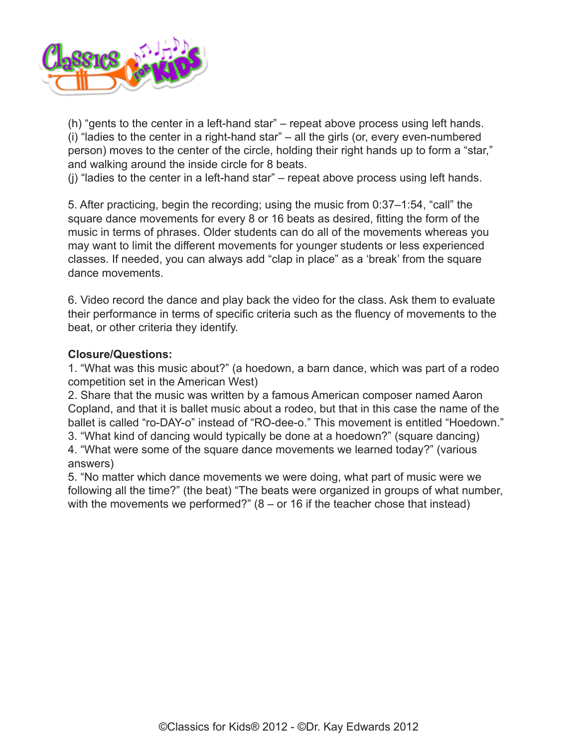<span id="page-6-0"></span>

(h) "gents to the center in a left-hand star" – repeat above process using left hands. (i) "ladies to the center in a right-hand star" – all the girls (or, every even-numbered person) moves to the center of the circle, holding their right hands up to form a "star," and walking around the inside circle for 8 beats.

(j) "ladies to the center in a left-hand star" – repeat above process using left hands.

5. After practicing, begin the recording; using the music from 0:37–1:54, "call" the square dance movements for every 8 or 16 beats as desired, fitting the form of the music in terms of phrases. Older students can do all of the movements whereas you may want to limit the different movements for younger students or less experienced classes. If needed, you can always add "clap in place" as a 'break' from the square dance movements.

6. Video record the dance and play back the video for the class. Ask them to evaluate their performance in terms of specific criteria such as the fluency of movements to the beat, or other criteria they identify.

#### **Closure/Questions:**

1. "What was this music about?" (a hoedown, a barn dance, which was part of a rodeo competition set in the American West)

2. Share that the music was written by a famous American composer named Aaron Copland, and that it is ballet music about a rodeo, but that in this case the name of the ballet is called "ro-DAY-o" instead of "RO-dee-o." This movement is entitled "Hoedown." 3. "What kind of dancing would typically be done at a hoedown?" (square dancing) 4. "What were some of the square dance movements we learned today?" (various answers)

5. "No matter which dance movements we were doing, what part of music were we following all the time?" (the beat) "The beats were organized in groups of what number, with the movements we performed?"  $(8 - or 16)$  if the teacher chose that instead)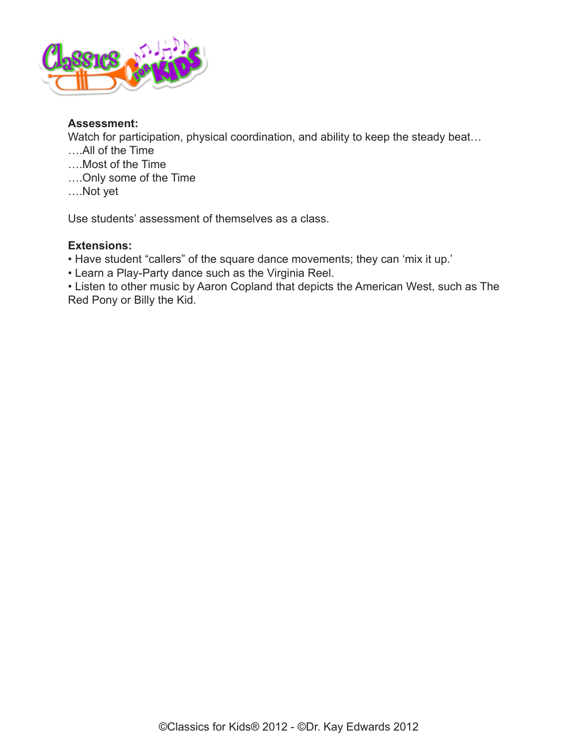

# **Assessment:**

Watch for participation, physical coordination, and ability to keep the steady beat...

- ….All of the Time
- ….Most of the Time
- ….Only some of the Time
- ….Not yet

Use students' assessment of themselves as a class.

# **Extensions:**

- Have student "callers" of the square dance movements; they can 'mix it up.'
- Learn a Play-Party dance such as the Virginia Reel.

• Listen to other music by Aaron Copland that depicts the American West, such as The Red Pony or Billy the Kid.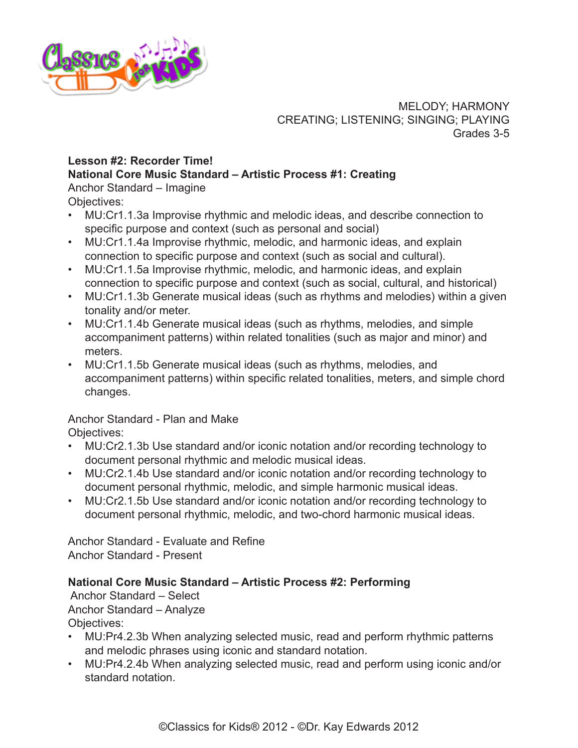

MELODY; HARMONY CREATING; LISTENING; SINGING; PLAYING Grades 3-5

# **Lesson #2: Recorder Time! National Core Music Standard – Artistic Process #1: Creating**

Anchor Standard – Imagine Objectives:

- MU:Cr1.1.3a Improvise rhythmic and melodic ideas, and describe connection to specific purpose and context (such as personal and social)
- MU:Cr1.1.4a Improvise rhythmic, melodic, and harmonic ideas, and explain connection to specific purpose and context (such as social and cultural).
- MU:Cr1.1.5a Improvise rhythmic, melodic, and harmonic ideas, and explain connection to specific purpose and context (such as social, cultural, and historical)
- MU:Cr1.1.3b Generate musical ideas (such as rhythms and melodies) within a given tonality and/or meter.
- MU:Cr1.1.4b Generate musical ideas (such as rhythms, melodies, and simple accompaniment patterns) within related tonalities (such as major and minor) and meters.
- MU:Cr1.1.5b Generate musical ideas (such as rhythms, melodies, and accompaniment patterns) within specific related tonalities, meters, and simple chord changes.

Anchor Standard - Plan and Make Objectives:

- MU:Cr2.1.3b Use standard and/or iconic notation and/or recording technology to document personal rhythmic and melodic musical ideas.
- MU:Cr2.1.4b Use standard and/or iconic notation and/or recording technology to document personal rhythmic, melodic, and simple harmonic musical ideas.
- MU:Cr2.1.5b Use standard and/or iconic notation and/or recording technology to document personal rhythmic, melodic, and two-chord harmonic musical ideas.

Anchor Standard - Evaluate and Refine Anchor Standard - Present

# **National Core Music Standard – Artistic Process #2: Performing**

 Anchor Standard – Select Anchor Standard – Analyze Objectives:

- MU:Pr4.2.3b When analyzing selected music, read and perform rhythmic patterns and melodic phrases using iconic and standard notation.
- MU:Pr4.2.4b When analyzing selected music, read and perform using iconic and/or standard notation.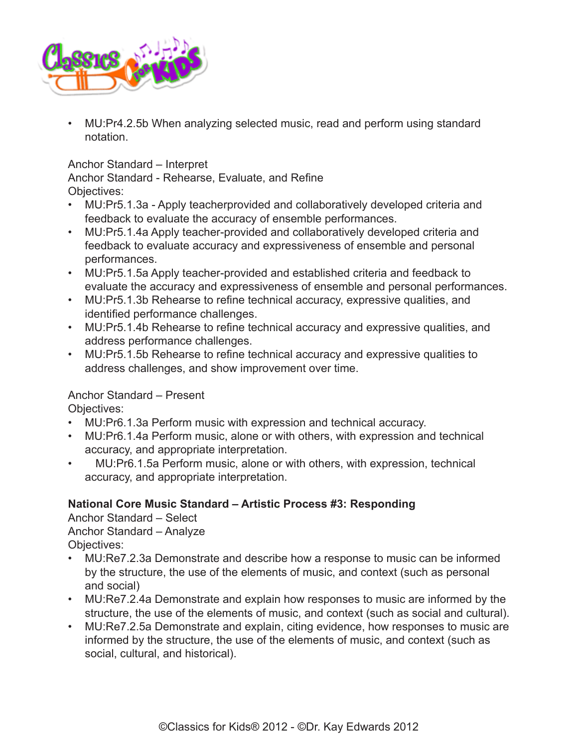<span id="page-9-0"></span>

• MU:Pr4.2.5b When analyzing selected music, read and perform using standard notation.

# Anchor Standard – Interpret

Anchor Standard - Rehearse, Evaluate, and Refine Objectives:

- MU:Pr5.1.3a Apply teacherprovided and collaboratively developed criteria and feedback to evaluate the accuracy of ensemble performances.
- MU:Pr5.1.4a Apply teacher-provided and collaboratively developed criteria and feedback to evaluate accuracy and expressiveness of ensemble and personal performances.
- MU:Pr5.1.5a Apply teacher-provided and established criteria and feedback to evaluate the accuracy and expressiveness of ensemble and personal performances.
- MU:Pr5.1.3b Rehearse to refine technical accuracy, expressive qualities, and identified performance challenges.
- MU:Pr5.1.4b Rehearse to refine technical accuracy and expressive qualities, and address performance challenges.
- MU:Pr5.1.5b Rehearse to refine technical accuracy and expressive qualities to address challenges, and show improvement over time.

# Anchor Standard – Present

Objectives:

- MU:Pr6.1.3a Perform music with expression and technical accuracy.
- MU:Pr6.1.4a Perform music, alone or with others, with expression and technical accuracy, and appropriate interpretation.
- MU:Pr6.1.5a Perform music, alone or with others, with expression, technical accuracy, and appropriate interpretation.

# **National Core Music Standard – Artistic Process #3: Responding**

Anchor Standard – Select Anchor Standard – Analyze Objectives:

- MU:Re7.2.3a Demonstrate and describe how a response to music can be informed by the structure, the use of the elements of music, and context (such as personal and social)
- MU:Re7.2.4a Demonstrate and explain how responses to music are informed by the structure, the use of the elements of music, and context (such as social and cultural).
- MU:Re7.2.5a Demonstrate and explain, citing evidence, how responses to music are informed by the structure, the use of the elements of music, and context (such as social, cultural, and historical).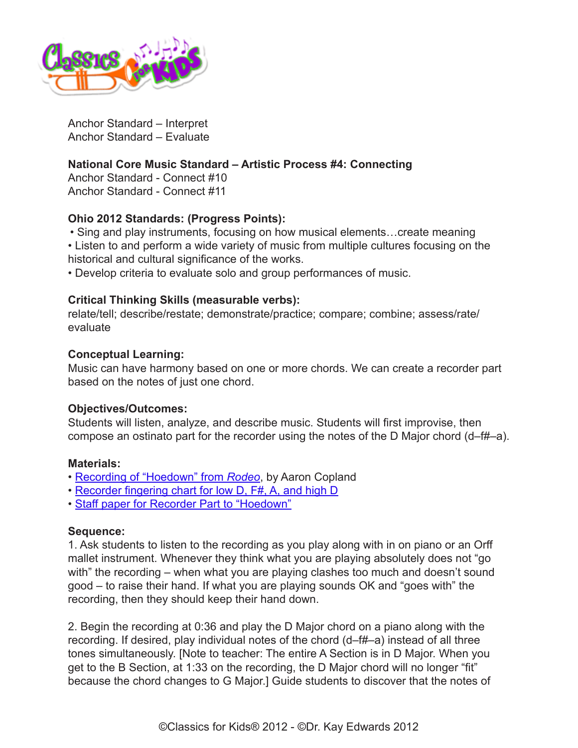

Anchor Standard – Interpret Anchor Standard – Evaluate

# **National Core Music Standard – Artistic Process #4: Connecting**

Anchor Standard - Connect #10 Anchor Standard - Connect #11

#### **Ohio 2012 Standards: (Progress Points):**

• Sing and play instruments, focusing on how musical elements…create meaning • Listen to and perform a wide variety of music from multiple cultures focusing on the historical and cultural significance of the works.

• Develop criteria to evaluate solo and group performances of music.

#### **Critical Thinking Skills (measurable verbs):**

relate/tell; describe/restate; demonstrate/practice; compare; combine; assess/rate/ evaluate

#### **Conceptual Learning:**

Music can have harmony based on one or more chords. We can create a recorder part based on the notes of just one chord.

#### **Objectives/Outcomes:**

Students will listen, analyze, and describe music. Students will first improvise, then compose an ostinato part for the recorder using the notes of the D Major chord (d–f#–a).

#### **Materials:**

- [Recording of "Hoedown" from](http://www.classicsforkids.com/music/hearthemusic.php?id=1) *Rodeo*, by Aaron Copland
- [Recorder fingering chart for low D, F#, A, and high D](http://www.classicsforkids.com/downloads/copland/Recorder_Fingerings_D_Major_Hoedown.pdf)
- [Staff paper for Recorder Part to "Hoedown"](http://www.classicsforkids.com/downloads/copland/Staff_Paper_&_Rhythm_Bank_Hoedown.pdf)

#### **Sequence:**

1. Ask students to listen to the recording as you play along with in on piano or an Orff mallet instrument. Whenever they think what you are playing absolutely does not "go with" the recording – when what you are playing clashes too much and doesn't sound good – to raise their hand. If what you are playing sounds OK and "goes with" the recording, then they should keep their hand down.

2. Begin the recording at 0:36 and play the D Major chord on a piano along with the recording. If desired, play individual notes of the chord (d–f#–a) instead of all three tones simultaneously. [Note to teacher: The entire A Section is in D Major. When you get to the B Section, at 1:33 on the recording, the D Major chord will no longer "fit" because the chord changes to G Major.] Guide students to discover that the notes of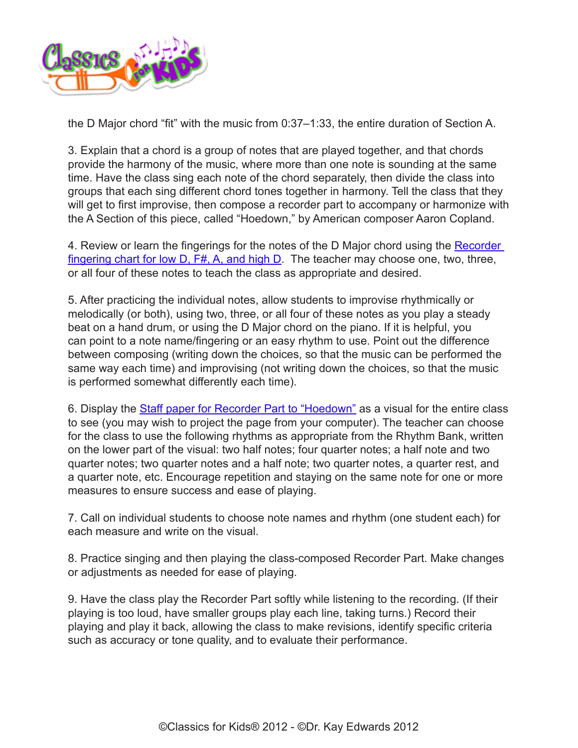

the D Major chord "fit" with the music from 0:37–1:33, the entire duration of Section A.

3. Explain that a chord is a group of notes that are played together, and that chords provide the harmony of the music, where more than one note is sounding at the same time. Have the class sing each note of the chord separately, then divide the class into groups that each sing different chord tones together in harmony. Tell the class that they will get to first improvise, then compose a recorder part to accompany or harmonize with the A Section of this piece, called "Hoedown," by American composer Aaron Copland.

4. Review or learn the fingerings for the notes of the D Major chord using the Recorder fingering chart for low D,  $F#$ , A, and high D. The teacher may choose one, two, three, or all four of these notes to teach the class as appropriate and desired.

5. After practicing the individual notes, allow students to improvise rhythmically or melodically (or both), using two, three, or all four of these notes as you play a steady beat on a hand drum, or using the D Major chord on the piano. If it is helpful, you can point to a note name/fingering or an easy rhythm to use. Point out the difference between composing (writing down the choices, so that the music can be performed the same way each time) and improvising (not writing down the choices, so that the music is performed somewhat differently each time).

6. Display the **Staff paper for Recorder Part to "Hoedown"** as a visual for the entire class to see (you may wish to project the page from your computer). The teacher can choose for the class to use the following rhythms as appropriate from the Rhythm Bank, written on the lower part of the visual: two half notes; four quarter notes; a half note and two quarter notes; two quarter notes and a half note; two quarter notes, a quarter rest, and a quarter note, etc. Encourage repetition and staying on the same note for one or more measures to ensure success and ease of playing.

7. Call on individual students to choose note names and rhythm (one student each) for each measure and write on the visual.

8. Practice singing and then playing the class-composed Recorder Part. Make changes or adjustments as needed for ease of playing.

9. Have the class play the Recorder Part softly while listening to the recording. (If their playing is too loud, have smaller groups play each line, taking turns.) Record their playing and play it back, allowing the class to make revisions, identify specific criteria such as accuracy or tone quality, and to evaluate their performance.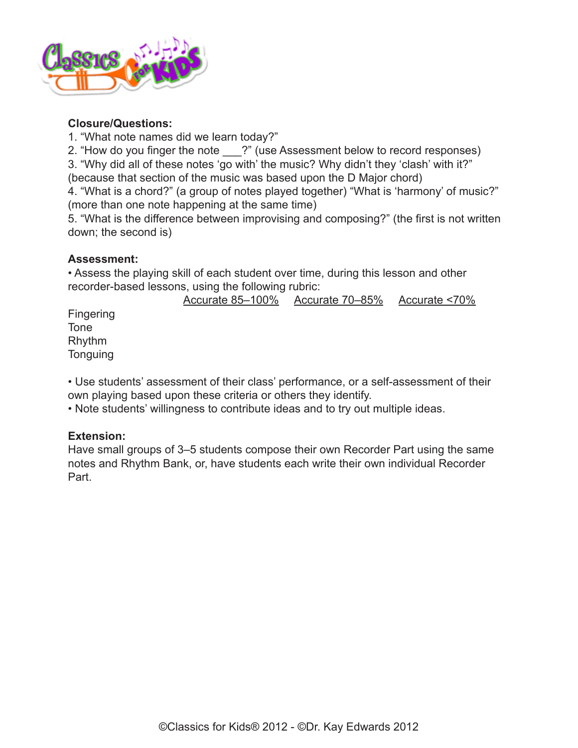

# **Closure/Questions:**

1. "What note names did we learn today?"

2. "How do you finger the note ?" (use Assessment below to record responses)

3. "Why did all of these notes 'go with' the music? Why didn't they 'clash' with it?" (because that section of the music was based upon the D Major chord)

4. "What is a chord?" (a group of notes played together) "What is 'harmony' of music?" (more than one note happening at the same time)

5. "What is the difference between improvising and composing?" (the first is not written down; the second is)

# **Assessment:**

Tone

• Assess the playing skill of each student over time, during this lesson and other recorder-based lessons, using the following rubric:

Accurate 85–100% Accurate 70–85% Accurate <70% Fingering Rhythm **Tonguing** 

• Use students' assessment of their class' performance, or a self-assessment of their own playing based upon these criteria or others they identify.

• Note students' willingness to contribute ideas and to try out multiple ideas.

# **Extension:**

Have small groups of 3–5 students compose their own Recorder Part using the same notes and Rhythm Bank, or, have students each write their own individual Recorder Part.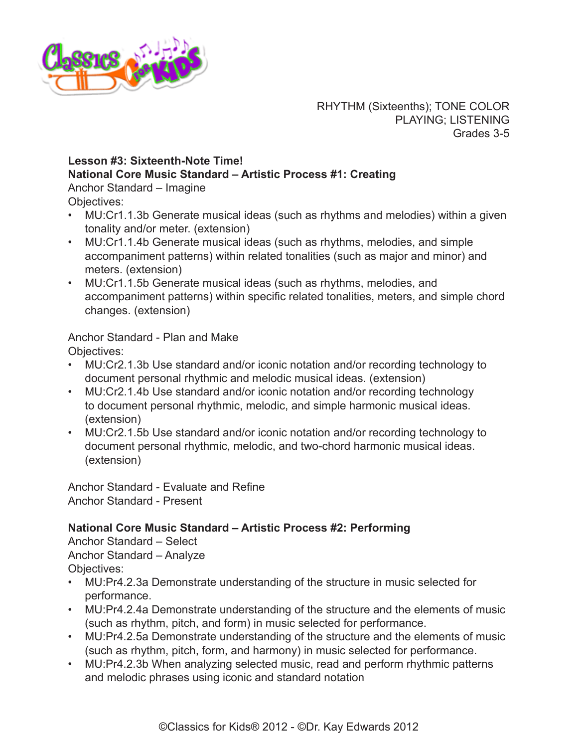

RHYTHM (Sixteenths); TONE COLOR PLAYING; LISTENING Grades 3-5

# **Lesson #3: Sixteenth-Note Time!**

**National Core Music Standard – Artistic Process #1: Creating**

Anchor Standard – Imagine Objectives:

- MU:Cr1.1.3b Generate musical ideas (such as rhythms and melodies) within a given tonality and/or meter. (extension)
- MU:Cr1.1.4b Generate musical ideas (such as rhythms, melodies, and simple accompaniment patterns) within related tonalities (such as major and minor) and meters. (extension)
- MU:Cr1.1.5b Generate musical ideas (such as rhythms, melodies, and accompaniment patterns) within specific related tonalities, meters, and simple chord changes. (extension)

Anchor Standard - Plan and Make Objectives:

- MU:Cr2.1.3b Use standard and/or iconic notation and/or recording technology to document personal rhythmic and melodic musical ideas. (extension)
- MU:Cr2.1.4b Use standard and/or iconic notation and/or recording technology to document personal rhythmic, melodic, and simple harmonic musical ideas. (extension)
- MU:Cr2.1.5b Use standard and/or iconic notation and/or recording technology to document personal rhythmic, melodic, and two-chord harmonic musical ideas. (extension)

Anchor Standard - Evaluate and Refine Anchor Standard - Present

# **National Core Music Standard – Artistic Process #2: Performing**

Anchor Standard – Select Anchor Standard – Analyze Objectives:

- MU:Pr4.2.3a Demonstrate understanding of the structure in music selected for performance.
- MU:Pr4.2.4a Demonstrate understanding of the structure and the elements of music (such as rhythm, pitch, and form) in music selected for performance.
- MU:Pr4.2.5a Demonstrate understanding of the structure and the elements of music (such as rhythm, pitch, form, and harmony) in music selected for performance.
- MU:Pr4.2.3b When analyzing selected music, read and perform rhythmic patterns and melodic phrases using iconic and standard notation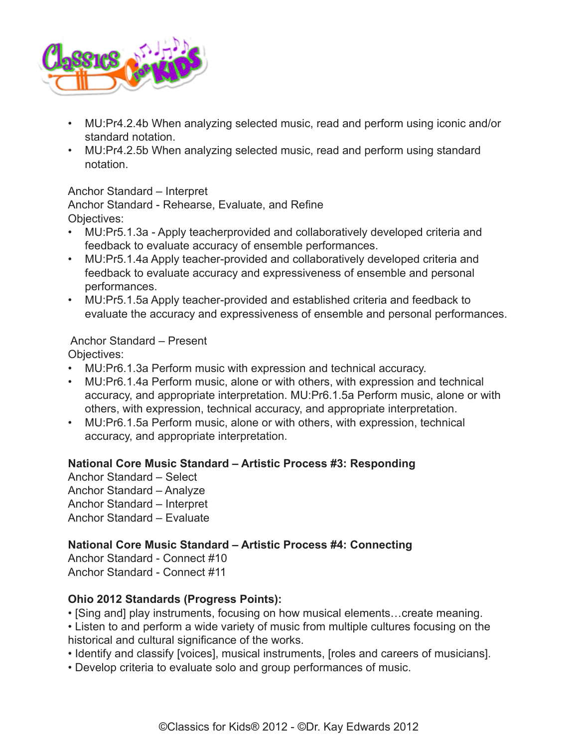

- MU:Pr4.2.4b When analyzing selected music, read and perform using iconic and/or standard notation.
- MU:Pr4.2.5b When analyzing selected music, read and perform using standard notation.

#### Anchor Standard – Interpret

Anchor Standard - Rehearse, Evaluate, and Refine Objectives:

- MU:Pr5.1.3a Apply teacherprovided and collaboratively developed criteria and feedback to evaluate accuracy of ensemble performances.
- MU:Pr5.1.4a Apply teacher-provided and collaboratively developed criteria and feedback to evaluate accuracy and expressiveness of ensemble and personal performances.
- MU:Pr5.1.5a Apply teacher-provided and established criteria and feedback to evaluate the accuracy and expressiveness of ensemble and personal performances.

# Anchor Standard – Present

Objectives:

- MU:Pr6.1.3a Perform music with expression and technical accuracy.
- MU:Pr6.1.4a Perform music, alone or with others, with expression and technical accuracy, and appropriate interpretation. MU:Pr6.1.5a Perform music, alone or with others, with expression, technical accuracy, and appropriate interpretation.
- MU:Pr6.1.5a Perform music, alone or with others, with expression, technical accuracy, and appropriate interpretation.

# **National Core Music Standard – Artistic Process #3: Responding**

Anchor Standard – Select Anchor Standard – Analyze Anchor Standard – Interpret Anchor Standard – Evaluate

# **National Core Music Standard – Artistic Process #4: Connecting**

Anchor Standard - Connect #10 Anchor Standard - Connect #11

# **Ohio 2012 Standards (Progress Points):**

- [Sing and] play instruments, focusing on how musical elements…create meaning.
- Listen to and perform a wide variety of music from multiple cultures focusing on the historical and cultural significance of the works.
- Identify and classify [voices], musical instruments, [roles and careers of musicians].
- Develop criteria to evaluate solo and group performances of music.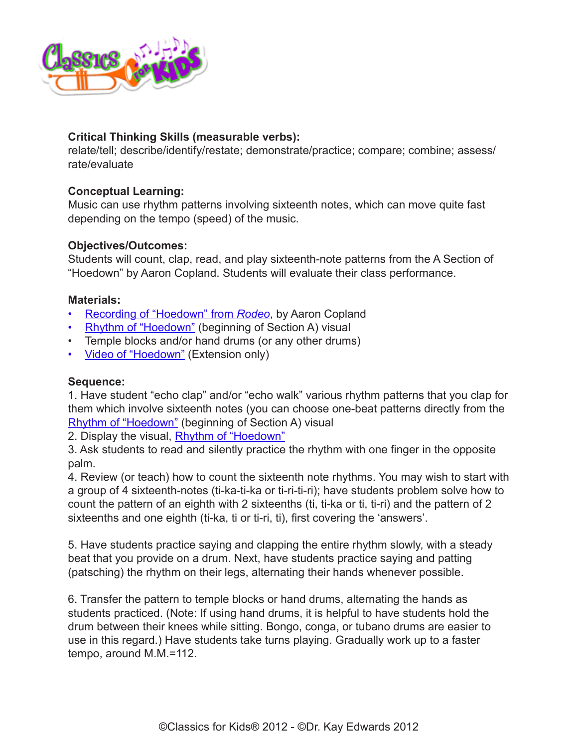

# **Critical Thinking Skills (measurable verbs):**

relate/tell; describe/identify/restate; demonstrate/practice; compare; combine; assess/ rate/evaluate

## **Conceptual Learning:**

Music can use rhythm patterns involving sixteenth notes, which can move quite fast depending on the tempo (speed) of the music.

# **Objectives/Outcomes:**

Students will count, clap, read, and play sixteenth-note patterns from the A Section of "Hoedown" by Aaron Copland. Students will evaluate their class performance.

#### **Materials:**

- [Recording of "Hoedown" from](http://www.classicsforkids.com/music/hearthemusic.php?id=1) *Rodeo*, by Aaron Copland
- [Rhythm of "Hoedown"](http://www.classicsforkids.com/downloads/copland/Rhythm_to_Hoedown.pdf) (beginning of Section A) visual
- Temple blocks and/or hand drums (or any other drums)
- [Video of "Hoedown"](http://www.youtube.com/watch?v=N0FuFfcCZiE) (Extension only)

#### **Sequence:**

1. Have student "echo clap" and/or "echo walk" various rhythm patterns that you clap for them which involve sixteenth notes (you can choose one-beat patterns directly from the [Rhythm of "Hoedown"](http://www.classicsforkids.com/teachers/lessonplans/pdfs/copland/Rhythm_to_Hoedown.pdf) (beginning of Section A) visual

2. Display the visual, [Rhythm of "Hoedown"](http://www.classicsforkids.com/downloads/copland/Rhythm_to_Hoedown.pdf)

3. Ask students to read and silently practice the rhythm with one finger in the opposite palm.

4. Review (or teach) how to count the sixteenth note rhythms. You may wish to start with a group of 4 sixteenth-notes (ti-ka-ti-ka or ti-ri-ti-ri); have students problem solve how to count the pattern of an eighth with 2 sixteenths (ti, ti-ka or ti, ti-ri) and the pattern of 2 sixteenths and one eighth (ti-ka, ti or ti-ri, ti), first covering the 'answers'.

5. Have students practice saying and clapping the entire rhythm slowly, with a steady beat that you provide on a drum. Next, have students practice saying and patting (patsching) the rhythm on their legs, alternating their hands whenever possible.

6. Transfer the pattern to temple blocks or hand drums, alternating the hands as students practiced. (Note: If using hand drums, it is helpful to have students hold the drum between their knees while sitting. Bongo, conga, or tubano drums are easier to use in this regard.) Have students take turns playing. Gradually work up to a faster tempo, around M.M.=112.